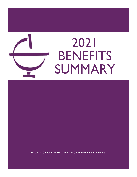

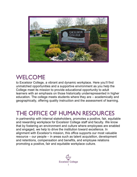

## WELCOME

to Excelsior College, a vibrant and dynamic workplace. Here you'll find unmatched opportunities and a supportive environment as you help the College meet its mission to provide educational opportunity to adult learners with an emphasis on those historically underrepresented in higher education. The college meets students where they are – academically and geographically, offering quality instruction and the assessment of learning.

## THE OFFICE OF HUMAN RESOURCES

in partnership with internal stakeholders, promotes a positive, fair, equitable and rewarding workplace for Excelsior College staff and faculty. We know that by fostering an environment and culture where employees are enabled and engaged, we help to drive the institution toward excellence. In alignment with Excelsior's mission, this office supports our most valuable resource – our people – in areas such as talent acquisition, development and retentions, compensation and benefits, and employee relations promoting a positive, fair and equitable workplace culture.

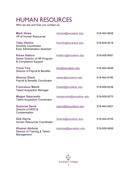# HUMAN RESOURCES

Who we are and how you contact us:

| <b>Mark Howe</b><br>VP of Human Resources                                                  | mhowe@excelsior.edu       | 518-464-8508 |
|--------------------------------------------------------------------------------------------|---------------------------|--------------|
| <b>Toby Hamlin</b><br><b>Diversity Coordinator</b><br><b>Exec Administrative Assistant</b> | thamlin@excelsior.edu     | 518-608-8218 |
| <b>Karen Halaco</b><br>Senior Director of HR Program<br>& Compliance Support               | khalaco@excelsior.edu     | 518-608-8481 |
| <b>Tricia Tice</b><br>Director of Payroll & Benefits                                       | ttice@excelsior.edu       | 518-464-8548 |
| <b>Shauna Slack</b><br><b>Payroll &amp; Benefits Coordinator</b>                           | sslack@excelsior.edu      | 518-464-8785 |
| <b>Francesca Mesiti</b><br><b>Talent Acquisition Manager</b>                               | fmesiti@excelsior.edu     | 518-608-8238 |
| <b>Megan Salavantis</b><br><b>Talent Acquisition Coordinator</b>                           | msalavantis@excelsior.edu | 518-608-8270 |
| <b>Suzanne Davis</b><br>Director of HRIS &<br>Compensation                                 | sdavis@excedlsior.edu     | 518-464-8551 |
| <b>Deb Harris</b><br><b>Human Resources Coordinator</b>                                    | dharris@excelsior.edu     | 518-464-8755 |
| <b>Khamel Abdulai</b><br>Director of Training & Talent<br>Management                       | kabdulai@excelsior.edu    | 518-608-8466 |

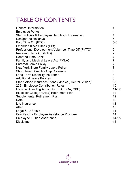# TABLE OF CONTENTS

| <b>General Information</b>                            | 4              |
|-------------------------------------------------------|----------------|
| <b>Employee Perks</b>                                 | 4              |
| Staff Policies & Employee Handbook Information        | 4              |
| <b>Designated Holidays</b>                            | 5              |
| Paid Time Off (PTO)                                   | $5-6$          |
| Extended Illness Bank (EIB)                           | $6\phantom{1}$ |
| Professional Development Volunteer Time Off (PVTO)    | 6              |
| Research Time Off (RTO)                               | $\overline{7}$ |
| <b>Donated Time Bank</b>                              | $\overline{7}$ |
| Family and Medical Leave Act (FMLA)                   | $\overline{7}$ |
| <b>Parental Leave Policy</b>                          | $\overline{7}$ |
| <b>New York State Family Leave Policy</b>             | 8              |
| <b>Short Term Disability Gap Coverage</b>             | 8              |
| Long Term Disability Insurance                        | 8              |
| <b>Additional Leave Policies</b>                      | 8              |
| Stand Alone Insurance Plans (Medical, Dental, Vision) | $8 - 9$        |
| 2021 Employee Contribution Rates                      | 10             |
| Flexible Spending Accounts (FSA, DCA, CBP)            | $11 - 12$      |
| Excelsior College 401(a) Retirement Plan              | 12             |
| <b>Supplemental Retirement Plan</b>                   | 12             |
| Roth                                                  | 12             |
| Life Insurance                                        | 13             |
| Aflac                                                 | 13             |
| Legal & ID Shield                                     | 14             |
| ComPsych - Employee Assistance Program                | 14             |
| <b>Employee Tuition Assistance</b>                    | $14 - 15$      |
| <b>Disclaimer</b>                                     | 15             |
|                                                       |                |

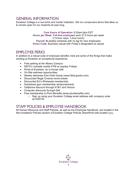### GENERAL INFORMATION

Excelsior College is a non-brick and mortar institution. We run consecutive terms that allow us to remain open for our students all year long.

> **Core Hours of Operation**: 8:30am-5pm EST **Hours per Week**: Full-time employees work 37.5 hours per week (7.5-hour days, 1-hour lunch) **Payroll**: Bi-weekly schedule with no lag for new employees **Dress Code**: Business casual with Friday's designated as casual

### EMPLOYEE PERKS

In addition to a robust suite of employee benefits, here are some of the things that make working at Excelsior an exceptional experience:

- Free parking at the Albany Campus
- SEFCU curbside mobile ATM on payday Fridays
- Prime at Excelsior, an in-house café
- On-Site wellness opportunities
- Weekly deliveries from Field Goods (www.field-goods.com)
- Discounted Regal Cinema movie tickets
- Discounted BJ's Wholesale membership
- Subsidized gym membership reimbursements
- Cellphone discount through AT&T and Verizon
- Computer discounts through Dell
- Free membership to Plum Benefits (www.plumbenefits.com)
	- o Sign up using your Excelsior College email address with company code: ac1025744

### STAFF POLICIES & EMPLOYEE HANDBOOK

All Human Resource and Staff Policies, as well as the Employee Handbook, are located in the Non-Academic Policies section of Excelsior College Policies SharePoint site located [here.](https://excelsiorcollege.sharepoint.com/sites/internal/policies/NonAcademic/Forms/AllItems.aspx?viewid=953976b8%2Daaff%2D4ad6%2Da13d%2Dcf5efc9403f8&id=%2Fsites%2Finternal%2Fpolicies%2FNonAcademic%2FHR)

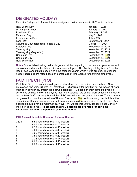### DESIGNATED HOLIDAYS

Excelsior College will observe thirteen designated holiday closures in 2021 which include:

- New Year's Day January 1, 2021 Dr. King's Birthday January 18, 2021 Presidents Day **February 15, 2021** Memorial Day May 31, 2021 Independence Day July 5, 2021 Labor Day September 6, 2021 Columbus Day/Indigenous People's Day Columbus Day And Cotober 11, 2021 Veterans Day November 11, 2021 Thanksgiving November 25, 2021 Thanksgiving (Day After) November 26, 2021 Christmas Eve **December 24**, 2021 Christmas Day December 25, 2021
- December 31, 2021

**Note -** One variable floating holiday is granted at the beginning of the calendar year for current employees and upon the date of hire for new employees. This floating holiday is on a "use it or lose it" basis and must be used within the calendar year in which it was granted. The floating holiday accrual is pro-rated based on percentage of time worked for part-time employees.

## PAID TIME OFF (PTO)

Paid Time Off (PTO) combines all types of short-term paid leave time into one bank. New employees who work full-time, will start their PTO accrual after their first full two weeks of work. With each pay period, employees accrue additional PTO based on their completed years of service as outlined below. Employees must work at least 70% of their work schedule in order to accrue time. Staff can carry forward their PTO accrual from one year to the next. The maximum carry-over limit is at the discretion of Human Resources. The maximum carryover limit is at the discretion of Human Resources and will be announced college-wide with plenty of notice. Any additional hours over the maximum carryover limit will roll into your Extended Illness Bank on March 1st of each year. **Please note that PTO accruals are pro-rated for part-time employees based on the percentage of time worked.**

#### **PTO Accrual Schedule Based on Years of Service**

- 0 to 1 5.50 hours biweekly (3.80 weeks)
- 1 6.00 hours biweekly (4.16 weeks)
- 2 6.50 hours biweekly (4.50 weeks)
- 3 7.00 hours biweekly (4.85 weeks)
- 4 7.25 hours biweekly (5.03 weeks)<br>5 7.50 hours biweekly (5.20 weeks)
- 5 7.50 hours biweekly (5.20 weeks)
- 6 7.75 hours biweekly (5.37 weeks)<br>7 8.00 hours biweekly (5.55 weeks)
- 8.00 hours biweekly (5.55 weeks)
- 8 8.00 hours biweekly (5.55 weeks)

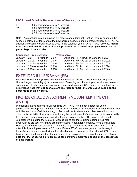#### **PTO Accrual Schedule Based on Years of Service (continued…)**

- 9 8.25 hours biweekly (5.72 weeks)
- 10 8.50 hours biweekly (5.89 weeks)
- 11 8.50 hours biweekly (5.89 weeks)
- 12 8.75 hours biweekly (6.00 weeks)

Note – A select group of employees will receive one additional Floating Holiday based on the schedule below in order to offset the new accrual schedule implemented January 1, 2017. The additional Floating Holiday must be used in the calendar year in which it was received. **Please note the additional Floating Holiday is pro-rated for part-time employees based on the percentage of time worked.**

#### **Employees Hired Between: Will Receive:**

| Additional FH Accrual on January 1, 2021 |
|------------------------------------------|
| Additional FH Accrual on January 1, 2022 |
| Additional FH Accrual on January 1, 2023 |
| Additional FH Accrual on January 1, 2024 |
| Additional FH Accrual on January 1, 2025 |
|                                          |

### EXTENDED ILLNESS BANK (EIB)

Extended Illness Bank (EIB) is accrued time that is set aside for hospitalization, long-term illness (longer than 3 days,) or bereavement. Beginning with the one year service anniversary date and on all subsequent anniversary dates, an allocation of 37.5 hours will be added to your EIB. **Please note that EIB accruals are pro-rated for part-time employees based on the percentage of time worked.**

### PROFESSIONAL DEVELOPMENT / VOLUNTEER TIME OFF (PVTO)

Professional Development Volunteer Time Off (PVTO) is time designated for use for professional development and volunteer activities purposes. Professional Development includes activities such as soft-skills training, professional certification-related classes/webinars and other similar activities that assist in furthering the development of career and professional skills that enhance learning and employability for staff. Volunteer Time Off helps employees to volunteer while getting the Excelsior College brand out there. Some example volunteer opportunities are (but not limited to): cancer walks, Habitat for Humanity, Ronald McDonald House, etc. If hired from January 1 – June 30, employees receive 15 hours of PVTO. If hired after July 1, employees receive 7.5 hours. Fifteen PTVO hours are granted on January 1 thereafter and must be used within the calendar year. It is expected that at least 50% of this time-off benefit will be used for the purposes of professional development each year. **Please note that PVTO accruals are pro-rated for part-time employees based on the percentage of time worked.**

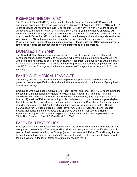### RESEARCH TIME OFF (RTO)

The Research Time Off (RTO) policy enables Faculty Program Directors (FPD's) and other designated academic roles to focus on research. Designated Academic Roles (DAR)'s with 1-2 years of service will receive 15 hours (2 days) of RTO yearly; DAR's with 3-4 years of service will receive 22.50 hours (3 days) of RTO; and DAR's with 5 years and above of service will receive 37.50 hours (5 days) of RTO. This time will be prorated for part-time DARs and must be used by each December 31<sup>st</sup> or it will be forfeited. If you have questions with regards to whether your role is a DAR for the purposes of this policy, please consult your supervisor, Dean or Provost and notify Human Resources upon approval. **Please note that RTO accruals are prorated for part-time employees based on the percentage of time worked.**

### DONATED TIME BANK

The **Donated Time Bank** allows employees to voluntarily transfer accrued PTO hours to a central repository that is available to employees (who have exhausted their own accrued time) who are facing hardship, as determined by Human Resources. Employees who wish to donate must maintain a balance of 112.5 hours (3 weeks or prorated for part time employees) in their own PTO balance. Employees can donate a minimum of 3 days up to a maximum of 10 days annually.

### FAMILY AND MEDICAL LEAVE ACT

The Family and Medical Leave Act entitles eligible employees to take paid or unpaid, job protected leave for specified family and medical leave reasons with continuation of group health insurance coverage.

Employees who have been employed for at least (1) year and for at least 1,250 hours during the preceding 12-month period are eligible for FMLA leave. Regular Full-time and Part-time employees who meet the applicable time-of-service requirements, may be granted a total of twelve (12) weeks of FMLA Leave during a 12-month period, (for part time employees eligible FMLA hours will be prorated based on their part time schedule). Once the staff member has met eligibility requirements, FMLA will start immediately and will run concurrent with EIB and PTO. FMLA allows for 12 weeks of job protected leave. Any Leave of Absence (LOA) requests beyond that period must be reviewed and approved by the unit manager and Human Resources. For questions regarding eligible accommodations under FMLA, please contact Tricia Tice, Director of Payroll & Benefits at Ext: 8548.

### PARENTAL LEAVE POLICY

Employees who have completed six months of service at Excelsior College are eligible for the new parental leave policy. The college will provide for a new parent (mom and/or dad), with 2 weeks of paid leave funded by the College (to run concurrent with FMLA) This will apply for the birth of the employee's child, healing and to care for the child; or the placement of a child with the employee for adoption or foster care (max of once per year.)

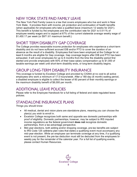### NEW YORK STATE PAID FAMILY LEAVE

The New York Paid Family Leave is a law that covers employees who live and work in New York State. It provides them with income, job protection and continuation of health benefits (when applicable) for employees who take a qualified leave (maximum 12 weeks for 2021). This benefit is funded by the employees and the contribution rate for 2021 is 0.511% of employee weekly wages and is capped at 67% of the current statewide average weekly wage of \$1,450.17 per week (or \$971.61 maximum benefit.)

## SHORT TERM DISABILITY GAP COVERAGE

The College provides reasonable income protection for employees who experience a short-term disability and do not have sufficient accrued EIB and/or PTO to cover the duration of an absence as the result of a disability. Employees that have been employed at the College for at least 6 months are eligible for Gap coverage. Gap coverage begins after EIB and PTO has been exhausted. It will cover employees for up to 6 months from the time the disability period first started and provide employees with 60% of their base salary compensation up to \$1,000 of taxable earnings per week until short-term disability ends, or long-term disability begins.

### GROUP LONG-TERM DISABILITY INSURANCE

This coverage is funded by Excelsior College and provided by CIGNA at no cost to all active employees who work a minimum of 17.5 hours/week. After a 180-day (6 month) waiting period, a disabled employee is eligible to collect the lesser of 60 percent of their monthly earnings or the maximum disability benefit of \$6,000 per month.

### ADDITIONAL LEAVE POLICIES

Please refer to the Employee Handbook for a full listing of federal and state regulated leave policies.

## STANDALONE INSURANCE PLANS

Things you should know:

- All medical, dental and vision plans are standalone plans, meaning you can choose the plan(s) you wish to enroll in.
- Excelsior College recognizes both same and opposite sex domestic partnerships with proof of eligibility. Domestic partnerships, however, may be subject to IRS imputed income regulations as the federal government **does not** recognize domestic partnerships, from a tax-advantage perspective.
- Mid-year elections, both adding and/or dropping coverage, pre-tax benefits are subject to IRS Code 125 cafeteria plan rules that states a qualifying event must accompany any mid-year election. While an employee can terminate coverage at any time, if a qualifying event is not present, the pre-tax deduction must still be deducted from the employees biweekly pay for the remainder of the calendar year. For a full list of qualifying events, please contact Human Resources.

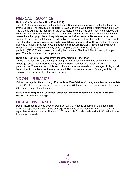### MEDICAL INSURANCE

#### **Option #1 - Empire Total Blue Plan (HRA)**

The HRA plan utilizes a high deductible, Health Reimbursement Account that is funded in part by the College. The individual deductible is \$2,000 and the two-person or family plan is \$4,000. The College will pay the first 85% of the deductible, once this has been met, the employee will be responsible for the remaining 15%. There will be **no** out-of-pocket cost for copayments for covered medical, physician or hospital charges **until after these limits are met.** After the deductible has been met, the plan has traditional copayments described in the plan document. The plan **does require you to use an Empire BlueCross provider.** However, this plan does give you a national provider network through the BlueCard Network. Prescriptions will have copayments beginning the first day of your eligibility date. There is a \$100.00 (individual)/\$250.00 (two person or family) deductible on Tier 2 and Tier 3 prescriptions per year. There is no deductible on generics.

#### **Option #2 - Empire Preferred Provider Organization (PPO) Plan**

This is a traditional PPO plan that provides provider-based coverage and outside the network coverage. Copayments start from day one of the plan year for all coverage including prescriptions. There is a deductible and coinsurance for out-of-network coverage which you will be required to pay, because there is no Health Reimbursement Account funding for this option. This plan also includes the BlueCard Network.

### VISION INSURANCE

Vision coverage is offered through **Empire Blue View Vision**. Coverage is effective on the date of hire. Children/ dependents are covered until age 26 (the end of the month in which they turn 26,) regardless of student status.

**Please note: Empire will send new enrollees one card that will be used for both their Health and Vision coverage.**

### DENTAL INSURANCE

Dental insurance is offered through Delta Dental. Coverage is effective on the date of hire. Children/ dependents are covered until age 26 (the end of the month of which they turn 26,) regardless of student status. There is a \$50 deductible for individuals and a \$150 deductible for two person or family.

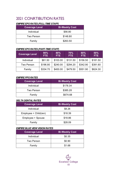## 2021 CONRTIBUTION RATES

### *EMPIRE EPO RATES (FULL-TIME STAFF)*

| <b>Coverage Level</b> | <b>Bi-Weekly Cost</b> |
|-----------------------|-----------------------|
| Individual            | \$56.80               |
| Two Person            | \$148.80              |
| Family                | \$263.50              |

#### *EMPIRE EPO RATES (PART-TIME STAFF)*

| <b>Coverage Level</b> | 90%<br>FTE. | 80%<br>FTE. | 70%<br>FTE. | 60%<br><b>FTE</b> | 50%<br><b>FTE</b> |
|-----------------------|-------------|-------------|-------------|-------------------|-------------------|
| Individual            | \$81.50     | \$103.00    | \$131.50    | \$156.50          | \$181.50          |
| <b>Two Person</b>     | \$196.80    | \$240.00    | \$294.20    | \$342.90          | \$391.60          |
| Family                | \$334.70    | \$400.00    | \$479.50    | \$551.90          | \$624.30          |

#### *EMPIRE PPO RATES*

| <b>Coverage Level</b> | <b>Bi-Weekly Cost</b> |
|-----------------------|-----------------------|
| Individual            | \$178.34              |
| Two Person            | \$385.28              |
| Family                | \$674.68              |

#### *DELTA DENTAL RATES*

| <b>Coverage Level</b> | <b>Bi-Weekly Cost</b> |
|-----------------------|-----------------------|
| Individual            | \$8.26                |
| Employee + Child(ren) | \$18.39               |
| Employee + Spouse     | \$18.86               |
| Family                | \$28.09               |

#### *EMPIRE BLUE VIEW VISION RATES*

| <b>Coverage Level</b> | <b>Bi-Weekly Cost</b> |
|-----------------------|-----------------------|
| Individual            | \$0.35                |
| Two Person            | \$0.90                |
| Family                | \$1.68                |

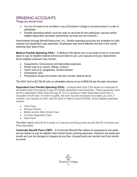## SPENDING ACCOUNTS

Things you should know:

- You do not need to be enrolled in any of Excelsior College's insurance plans in order to participate.
- Flexible Spending dollars must be used on services for the participant, spouse and/or eligible dependent (domestic partnership services are not covered.)

Administered through Benefit Resources, Inc., flexible spending accounts are available for both medical and dependent care expenses. Employees may enroll effective the first of the month following their date of hire.

**Medical Flexible Spending (FSA)** – A Medical FSA allows you to set aside funds on a tax-free basis to pay for eligible medical services provided to you, your spouse and your dependents. Some eligible expenses may include:

- Copayments, Coinsurance and deductible expenses
- Dental care (e.g. exams, fillings, crowns)
- Vision care (e.g. eyeglasses, contact lenses)
- Chiropractic care
- Prescription drugs and certain over the counter medical items

The 2021 limit is \$2,750.00 with an allowable rollover of up to \$550.00 per the plan document.

**Dependent Care Flexible Spending (DCA)** – A Dependent Care FSA allows an employee to set aside funds from payroll to pay for certain dependent care expenses. These expenses must be for a dependent child under the age of 13 or a spouse or other dependent adult who is incapable of self-care. In order to qualify, the care must be necessary to enable you and, if married, your spouse to work, look for work or attend school full-time. Some eligible expenses include:

- Child Care
- Nursery School
- Before and/or After School Care
- In-home dependent Care
- Adult Care

The 2021 limit is: \$5,000.00 if single or if married and filing jointly and \$2,500.00 if married and filing separately.

**Commuter Benefit Plans (CBP)** – A Commuter Benefit Plan allows an employee to set aside pre-tax dollars to pay for eligible mass transit and/or parking expenses. Elections are based per month and can be changed or stopped at any time. Unused funds are carried over from monthto-month.

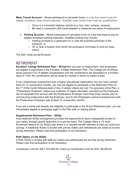**Mass Transit Account** – Allows participants to set aside funds on a tax-free basis to pay for eligible workplace mass transit expenses. Qualified mass transit must meet two qualifications:

- o Occur in a commuter highway vehicle (e.g. bus, train, subway, vanpool)
- $\circ$  Be used in connection with travel between a residence and place of employment
- **Parking Account** Allows participants to set aside funds on a tax-free basis to pay for eligible workplace parking expenses. Qualified parking may include:
	- o Parking provided to a participant on or near the business premises of the employer; or
	- $\circ$  On or near a location from which the participant commutes to work by mass transit

The 2021 limits are \$270/month.

### RETIREMENT

**Excelsior College Retirement Plan – 401(a)**After one year of employment, new employees are eligible to participate in the Excelsior College Retirement Plan. The College will contribute seven percent (7%) of eligible compensation and the contributions are deposited on a monthly basis to TIAA. No contributions will be made for months in which no salary is paid.

If your predecessor employment was a higher educational organization and you have worked there for 12 consecutive months, you may be eligible to participate in the Retirement Plan on the 1<sup>st</sup> of the month following date of hire, if certain criteria are met. For purposes of the Plan, a "Predecessor Employer" means any institution of higher education; provided (a) the Employee did not separate from service with the Predecessor Employer more than three months prior to commencing employment with the Employer, and (b) the Employee's period of employment with the Predecessor Employer was at least 12 consecutive months

If you are a rehire and already met eligibility to participate in the 401(a) Retirement plan, you are immediately eligible to participate again in the Plan with no waiting period.

#### **Supplemental Retirement Plan – 403(b)**

A tax-deferred 403(b) arrangement provides the opportunity to save a designated portion of your salary through payroll deduction on a pre-tax basis. The College offers a 1% Auto Enrollment feature to our 403(b) plan which is a valuable benefit intended to help you build your savings. A traditional 403(b) is funded with pre-tax dollars and withdrawals are taxed as income during retirement. Please note that participation is not mandatory.

#### **Roth Option on the 403(b)**

A Roth 403(b) is funded with after-tax dollars and withdrawals are tax-free during retirement. Please note that participation is not mandatory.

Contribution Limit for 2021: \$19,500.00; Catch-up Contribution Limit for 2021: \$6,500.00

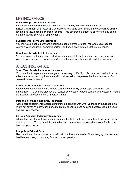### LIFE INSURANCE

#### **Basic Group Term Life Insurance**

A life insurance policy, valued at two times the employee's salary (minimum of \$25,000/maximum of \$150,000) is available to you at no cost. Every Employee will be eligible for this Life Insurance policy free of charge. This coverage is effective on the first day of the month following 30 days of employment.

#### **Supplemental Term Life Insurance**

You may also elect to purchase additional supplemental term life insurance coverage for yourself, your spouse or domestic partner, and/or children through MetLife Insurance.

#### **Supplemental Whole Life Insurance**

You may also elect to purchase additional supplemental whole life insurance coverage for yourself, your spouse or domestic partner, and/or children through MassMutual Insurance.

### AFLAC INSURANCE

#### **Short-Term Disability Income Insurance**

Your paycheck helps you maintain your current way of life. If you find yourself unable to work, Aflac short-term disability insurance will provide cash to help ease the financial stress of a covered illness or injury

#### **Cancer Care Specified Disease Insurance**

Aflac cancer insurance is here to help you and your family better cope financially—and emotionally—if a positive diagnosis of cancer ever occurs. Added comfort and protection means the freedom to focus on more important things.

#### **Personal Sickness Indemnity Insurance**

Aflac offers supplemental accident insurance that helps with what your health insurance plan might not cover. We pay cash benefits directly to you (unless assigned otherwise) to be used however you choose.

#### **24 Hour Accident Indemnity Insurance**

Aflac offers supplemental accident insurance that helps with what your health insurance plan might not cover. We pay cash benefits directly to you (unless assigned otherwise) to be used however you choose.

#### **Lump Sum Critical Care**

Use our critical illness insurance to help with the treatment costs of life-changing illnesses and health events, so you can stay focused on recuperation.

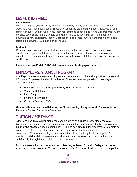### LEGAL & ID SHIELD

### **LegalShield**

LegalShield gives you the ability to talk to an attorney on any personal legal matter without worrying about high hourly costs. That's why, under the protection of LegalShield, you or your family can live your lives worry free. From real estate to speeding tickets to Will preparation, and beyond, LegalShield is there to help you with any personal legal matter—no matter how traumatic or how trivial it may seem. Because their dedicated law firms are prepaid, their sole focus is on serving you, rather than billing you.

#### **IDShield**

Members have access to dedicated and experienced licensed private investigators to ask questions and get help if they have concerns, they are a victim of fraud. Members also have proactive credit monitoring through Experian and will be alerted if there are any changes to their credit report.

**Please note LegalShield & IDShield are not available via payroll deduction.**

## EMPLOYEE ASSISTANCE PROGRAM

ComPsych is a service to give employees and dependents confidential support, resources and information for personal and work-life issues. These services are provided at no charge. Services include:

- Employee Assistance Program (EAP) for Confidential Counseling
- Work-Life Solutions
- Legal Support
- Financial Information
- GuidanceResources<sup>®</sup> Online

**GuidanceResources is available to you 24 hours a day, 7 days a week. Please refer to Excelsior Central for more information.**

## TUITION ASSISTANCE

All full and part-time regular employees are eligible to participate in either the associate, baccalaureate, master's or credit bearing examination tuition program, after the completion of **six months** of satisfactory job completion. Full and part-time regular employees are eligible to participate in the doctoral tuition program after **one year** of satisfactory job completion. Temporary employees and adjunct faculty are not eligible to participate. To maintain eligibility status, employees must remain on active payroll and perform their job satisfactorily through the completion of each **course.**

For the master's, baccalaureate, and associate degree levels, Excelsior College courses and examinations are covered at 80% reimbursement after 6 months of satisfactory job completion,